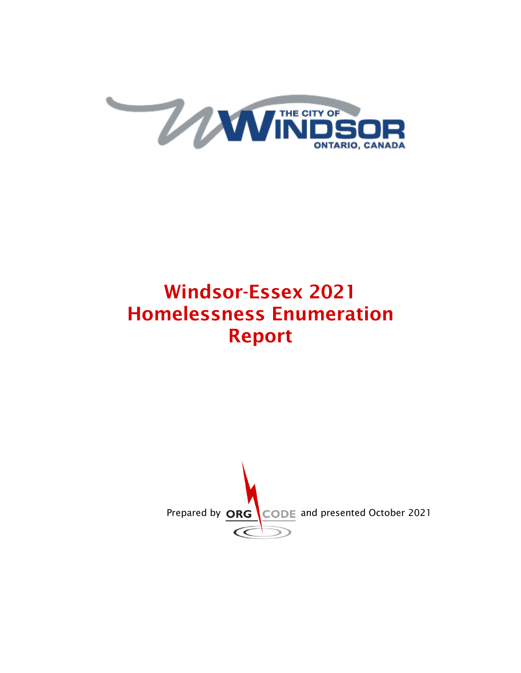

# Windsor-Essex 2021 Homelessness Enumeration Report

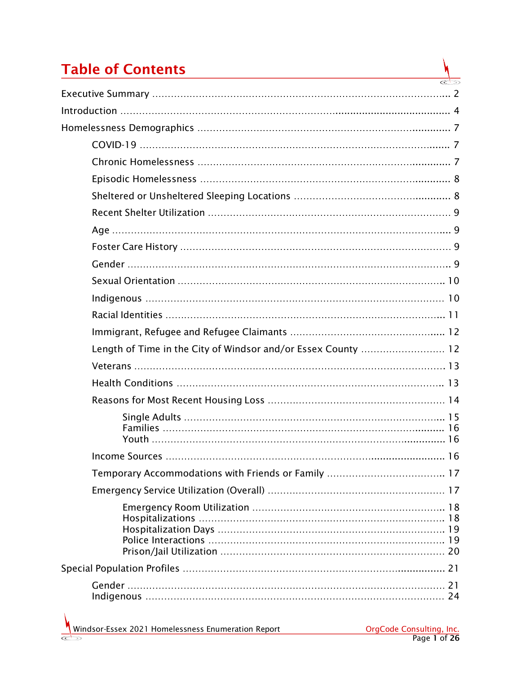# Table of Contents

| Length of Time in the City of Windsor and/or Essex County  12 |  |
|---------------------------------------------------------------|--|
|                                                               |  |
|                                                               |  |
|                                                               |  |
|                                                               |  |
|                                                               |  |
|                                                               |  |
|                                                               |  |
|                                                               |  |
|                                                               |  |
|                                                               |  |

N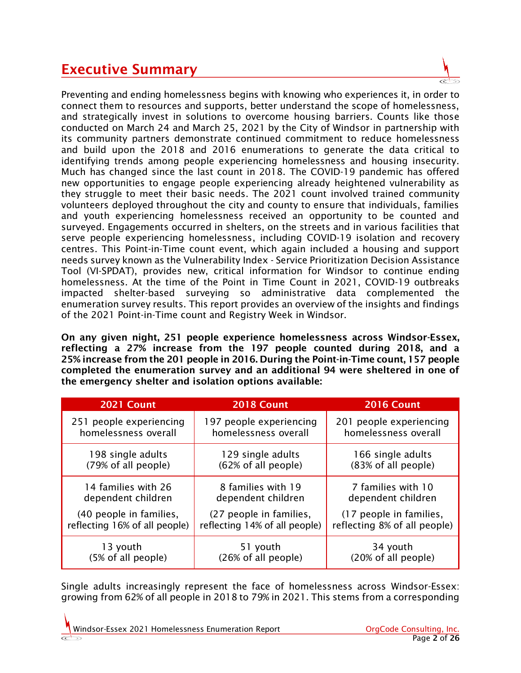### Executive Summary

Preventing and ending homelessness begins with knowing who experiences it, in order to connect them to resources and supports, better understand the scope of homelessness, and strategically invest in solutions to overcome housing barriers. Counts like those conducted on March 24 and March 25, 2021 by the City of Windsor in partnership with its community partners demonstrate continued commitment to reduce homelessness and build upon the 2018 and 2016 enumerations to generate the data critical to identifying trends among people experiencing homelessness and housing insecurity. Much has changed since the last count in 2018. The COVID-19 pandemic has offered new opportunities to engage people experiencing already heightened vulnerability as they struggle to meet their basic needs. The 2021 count involved trained community volunteers deployed throughout the city and county to ensure that individuals, families and youth experiencing homelessness received an opportunity to be counted and surveyed. Engagements occurred in shelters, on the streets and in various facilities that serve people experiencing homelessness, including COVID-19 isolation and recovery centres. This Point-in-Time count event, which again included a housing and support needs survey known as the Vulnerability Index - Service Prioritization Decision Assistance Tool (VI-SPDAT), provides new, critical information for Windsor to continue ending homelessness. At the time of the Point in Time Count in 2021, COVID-19 outbreaks impacted shelter-based surveying so administrative data complemented the enumeration survey results. This report provides an overview of the insights and findings of the 2021 Point-in-Time count and Registry Week in Windsor.

On any given night, 251 people experience homelessness across Windsor-Essex, reflecting a 27% increase from the 197 people counted during 2018, and a 25% increase from the 201 people in 2016. During the Point-in-Time count, 157 people completed the enumeration survey and an additional 94 were sheltered in one of the emergency shelter and isolation options available:

| 2021 Count                    | 2018 Count                    | <b>2016 Count</b>            |
|-------------------------------|-------------------------------|------------------------------|
| 251 people experiencing       | 197 people experiencing       | 201 people experiencing      |
| homelessness overall          | homelessness overall          | homelessness overall         |
| 198 single adults             | 129 single adults             | 166 single adults            |
| (79% of all people)           | (62% of all people)           | (83% of all people)          |
| 14 families with 26           | 8 families with 19            | 7 families with 10           |
| dependent children            | dependent children            | dependent children           |
| (40 people in families,       | (27 people in families,       | (17 people in families,      |
| reflecting 16% of all people) | reflecting 14% of all people) | reflecting 8% of all people) |
| 13 youth                      | 51 youth                      | 34 youth                     |
| (5% of all people)            | (26% of all people)           | (20% of all people)          |

Single adults increasingly represent the face of homelessness across Windsor-Essex: growing from 62% of all people in 2018 to 79% in 2021. This stems from a corresponding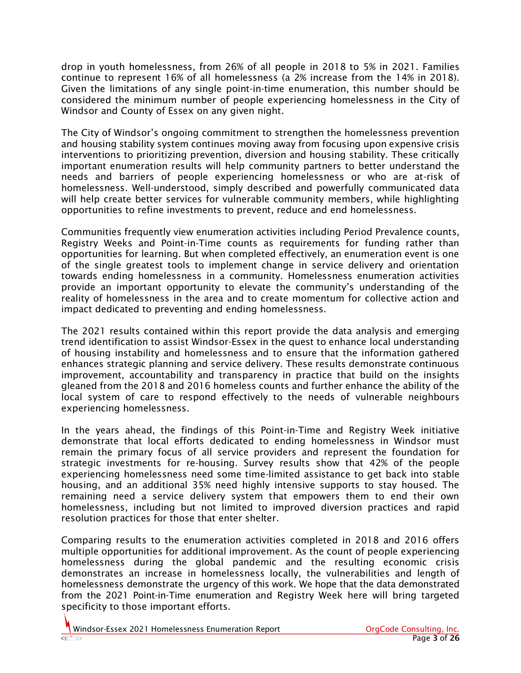drop in youth homelessness, from 26% of all people in 2018 to 5% in 2021. Families continue to represent 16% of all homelessness (a 2% increase from the 14% in 2018). Given the limitations of any single point-in-time enumeration, this number should be considered the minimum number of people experiencing homelessness in the City of Windsor and County of Essex on any given night.

The City of Windsor's ongoing commitment to strengthen the homelessness prevention and housing stability system continues moving away from focusing upon expensive crisis interventions to prioritizing prevention, diversion and housing stability. These critically important enumeration results will help community partners to better understand the needs and barriers of people experiencing homelessness or who are at-risk of homelessness. Well-understood, simply described and powerfully communicated data will help create better services for vulnerable community members, while highlighting opportunities to refine investments to prevent, reduce and end homelessness.

Communities frequently view enumeration activities including Period Prevalence counts, Registry Weeks and Point-in-Time counts as requirements for funding rather than opportunities for learning. But when completed effectively, an enumeration event is one of the single greatest tools to implement change in service delivery and orientation towards ending homelessness in a community. Homelessness enumeration activities provide an important opportunity to elevate the community's understanding of the reality of homelessness in the area and to create momentum for collective action and impact dedicated to preventing and ending homelessness.

The 2021 results contained within this report provide the data analysis and emerging trend identification to assist Windsor-Essex in the quest to enhance local understanding of housing instability and homelessness and to ensure that the information gathered enhances strategic planning and service delivery. These results demonstrate continuous improvement, accountability and transparency in practice that build on the insights gleaned from the 2018 and 2016 homeless counts and further enhance the ability of the local system of care to respond effectively to the needs of vulnerable neighbours experiencing homelessness.

In the years ahead, the findings of this Point-in-Time and Registry Week initiative demonstrate that local efforts dedicated to ending homelessness in Windsor must remain the primary focus of all service providers and represent the foundation for strategic investments for re-housing. Survey results show that 42% of the people experiencing homelessness need some time-limited assistance to get back into stable housing, and an additional 35% need highly intensive supports to stay housed. The remaining need a service delivery system that empowers them to end their own homelessness, including but not limited to improved diversion practices and rapid resolution practices for those that enter shelter.

Comparing results to the enumeration activities completed in 2018 and 2016 offers multiple opportunities for additional improvement. As the count of people experiencing homelessness during the global pandemic and the resulting economic crisis demonstrates an increase in homelessness locally, the vulnerabilities and length of homelessness demonstrate the urgency of this work. We hope that the data demonstrated from the 2021 Point-in-Time enumeration and Registry Week here will bring targeted specificity to those important efforts.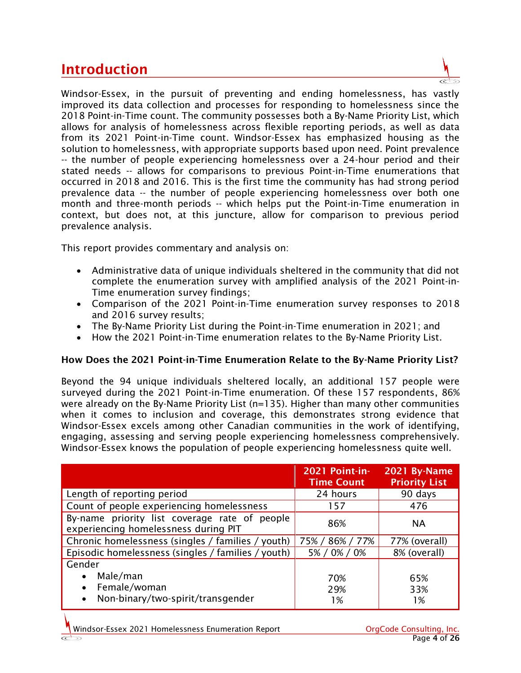### Introduction

Windsor-Essex, in the pursuit of preventing and ending homelessness, has vastly improved its data collection and processes for responding to homelessness since the 2018 Point-in-Time count. The community possesses both a By-Name Priority List, which allows for analysis of homelessness across flexible reporting periods, as well as data from its 2021 Point-in-Time count. Windsor-Essex has emphasized housing as the solution to homelessness, with appropriate supports based upon need. Point prevalence -- the number of people experiencing homelessness over a 24-hour period and their stated needs -- allows for comparisons to previous Point-in-Time enumerations that occurred in 2018 and 2016. This is the first time the community has had strong period prevalence data -- the number of people experiencing homelessness over both one month and three-month periods -- which helps put the Point-in-Time enumeration in context, but does not, at this juncture, allow for comparison to previous period prevalence analysis.

This report provides commentary and analysis on:

- Administrative data of unique individuals sheltered in the community that did not complete the enumeration survey with amplified analysis of the 2021 Point-in-Time enumeration survey findings;
- Comparison of the 2021 Point-in-Time enumeration survey responses to 2018 and 2016 survey results;
- The By-Name Priority List during the Point-in-Time enumeration in 2021; and
- How the 2021 Point-in-Time enumeration relates to the By-Name Priority List.

#### How Does the 2021 Point-in-Time Enumeration Relate to the By-Name Priority List?

Beyond the 94 unique individuals sheltered locally, an additional 157 people were surveyed during the 2021 Point-in-Time enumeration. Of these 157 respondents, 86% were already on the By-Name Priority List (n=135). Higher than many other communities when it comes to inclusion and coverage, this demonstrates strong evidence that Windsor-Essex excels among other Canadian communities in the work of identifying, engaging, assessing and serving people experiencing homelessness comprehensively. Windsor-Essex knows the population of people experiencing homelessness quite well.

|                                                                                                   | 2021 Point-in-<br><b>Time Count</b> | 2021 By-Name<br><b>Priority List</b> |
|---------------------------------------------------------------------------------------------------|-------------------------------------|--------------------------------------|
| Length of reporting period                                                                        | 24 hours                            | 90 days                              |
| Count of people experiencing homelessness                                                         | 157                                 | 476                                  |
| By-name priority list coverage rate of people<br>experiencing homelessness during PIT             | 86%                                 | <b>NA</b>                            |
| Chronic homelessness (singles / families / youth)                                                 | 75% / 86% / 77%                     | 77% (overall)                        |
| Episodic homelessness (singles / families / youth)                                                | 5% / 0% / 0%                        | 8% (overall)                         |
| Gender<br>Male/man<br>Female/woman<br>$\bullet$<br>Non-binary/two-spirit/transgender<br>$\bullet$ | 70%<br>29%<br>1%                    | 65%<br>33%<br>1%                     |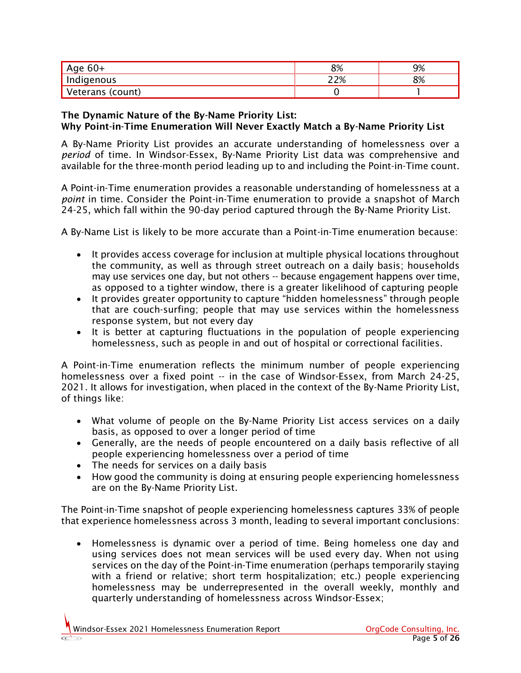| Age $60+$        | 8% | 9% |
|------------------|----|----|
| Indigenous       | 7% | 8% |
| Veterans (count) |    |    |

#### The Dynamic Nature of the By-Name Priority List: Why Point-in-Time Enumeration Will Never Exactly Match a By-Name Priority List

A By-Name Priority List provides an accurate understanding of homelessness over a *period* of time. In Windsor-Essex, By-Name Priority List data was comprehensive and available for the three-month period leading up to and including the Point-in-Time count.

A Point-in-Time enumeration provides a reasonable understanding of homelessness at a *point* in time. Consider the Point-in-Time enumeration to provide a snapshot of March 24-25, which fall within the 90-day period captured through the By-Name Priority List.

A By-Name List is likely to be more accurate than a Point-in-Time enumeration because:

- It provides access coverage for inclusion at multiple physical locations throughout the community, as well as through street outreach on a daily basis; households may use services one day, but not others -- because engagement happens over time, as opposed to a tighter window, there is a greater likelihood of capturing people
- It provides greater opportunity to capture "hidden homelessness" through people that are couch-surfing; people that may use services within the homelessness response system, but not every day
- It is better at capturing fluctuations in the population of people experiencing homelessness, such as people in and out of hospital or correctional facilities.

A Point-in-Time enumeration reflects the minimum number of people experiencing homelessness over a fixed point -- in the case of Windsor-Essex, from March 24-25, 2021. It allows for investigation, when placed in the context of the By-Name Priority List, of things like:

- What volume of people on the By-Name Priority List access services on a daily basis, as opposed to over a longer period of time
- Generally, are the needs of people encountered on a daily basis reflective of all people experiencing homelessness over a period of time
- The needs for services on a daily basis
- How good the community is doing at ensuring people experiencing homelessness are on the By-Name Priority List.

The Point-in-Time snapshot of people experiencing homelessness captures 33% of people that experience homelessness across 3 month, leading to several important conclusions:

• Homelessness is dynamic over a period of time. Being homeless one day and using services does not mean services will be used every day. When not using services on the day of the Point-in-Time enumeration (perhaps temporarily staying with a friend or relative; short term hospitalization; etc.) people experiencing homelessness may be underrepresented in the overall weekly, monthly and quarterly understanding of homelessness across Windsor-Essex;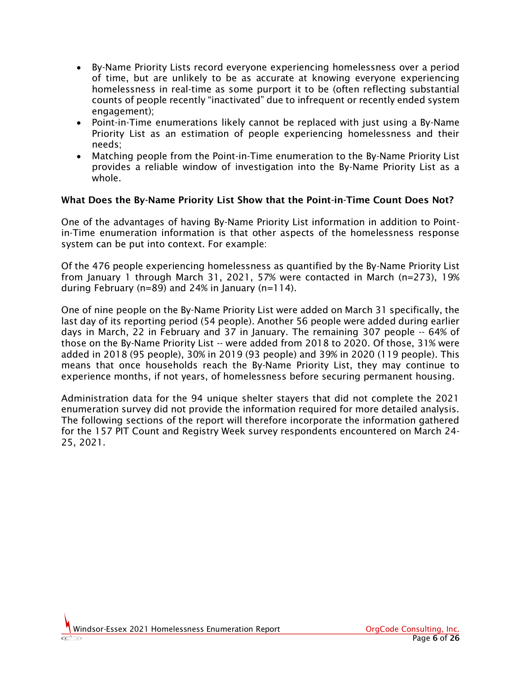- By-Name Priority Lists record everyone experiencing homelessness over a period of time, but are unlikely to be as accurate at knowing everyone experiencing homelessness in real-time as some purport it to be (often reflecting substantial counts of people recently "inactivated" due to infrequent or recently ended system engagement);
- Point-in-Time enumerations likely cannot be replaced with just using a By-Name Priority List as an estimation of people experiencing homelessness and their needs;
- Matching people from the Point-in-Time enumeration to the By-Name Priority List provides a reliable window of investigation into the By-Name Priority List as a whole.

#### What Does the By-Name Priority List Show that the Point-in-Time Count Does Not?

One of the advantages of having By-Name Priority List information in addition to Pointin-Time enumeration information is that other aspects of the homelessness response system can be put into context. For example:

Of the 476 people experiencing homelessness as quantified by the By-Name Priority List from January 1 through March 31, 2021, 57% were contacted in March (n=273), 19% during February (n=89) and 24% in January (n=114).

One of nine people on the By-Name Priority List were added on March 31 specifically, the last day of its reporting period (54 people). Another 56 people were added during earlier days in March, 22 in February and 37 in January. The remaining 307 people -- 64% of those on the By-Name Priority List -- were added from 2018 to 2020. Of those, 31% were added in 2018 (95 people), 30% in 2019 (93 people) and 39% in 2020 (119 people). This means that once households reach the By-Name Priority List, they may continue to experience months, if not years, of homelessness before securing permanent housing.

Administration data for the 94 unique shelter stayers that did not complete the 2021 enumeration survey did not provide the information required for more detailed analysis. The following sections of the report will therefore incorporate the information gathered for the 157 PIT Count and Registry Week survey respondents encountered on March 24- 25, 2021.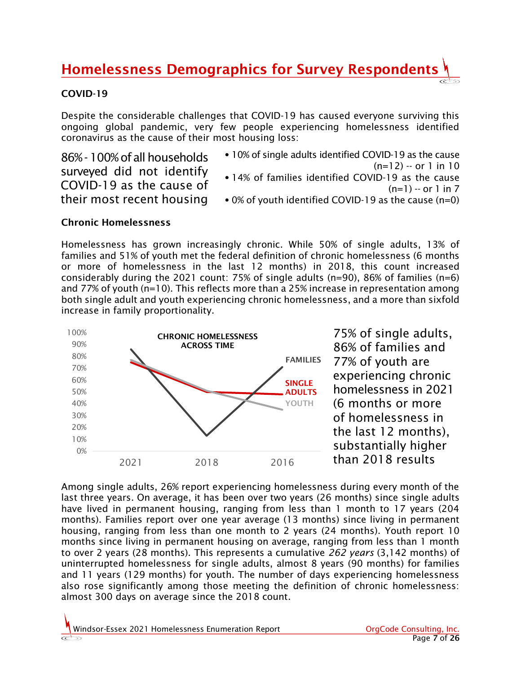### Homelessness Demographics for Survey Respondents

#### COVID-19

Despite the considerable challenges that COVID-19 has caused everyone surviving this ongoing global pandemic, very few people experiencing homelessness identified coronavirus as the cause of their most housing loss:

86% -100% of all households surveyed did not identify COVID-19 as the cause of their most recent housing

- •10% of single adults identified COVID-19 as the cause (n=12) -- or 1 in 10 •14% of families identified COVID-19 as the cause  $(n=1) - or 1$  in 7
- •0% of youth identified COVID-19 as the cause (n=0)

#### Chronic Homelessness los<br>Se

Homelessness has grown increasingly chronic. While 50% of single adults, 13% of families and 51% of youth met the federal definition of chronic homelessness (6 months or more of homelessness in the last 12 months) in 2018, this count increased considerably during the 2021 count: 75% of single adults ( $n=90$ ), 86% of families ( $n=6$ ) and 77% of youth (n=10). This reflects more than a 25% increase in representation among both single adult and youth experiencing chronic homelessness, and a more than sixfold increase in family proportionality.



Among single adults, 26% report experiencing homelessness during every month of the last three years. On average, it has been over two years (26 months) since single adults have lived in permanent housing, ranging from less than 1 month to 17 years (204 months). Families report over one year average (13 months) since living in permanent housing, ranging from less than one month to 2 years (24 months). Youth report 10 months since living in permanent housing on average, ranging from less than 1 month to over 2 years (28 months). This represents a cumulative *262 years* (3,142 months) of uninterrupted homelessness for single adults, almost 8 years (90 months) for families and 11 years (129 months) for youth. The number of days experiencing homelessness also rose significantly among those meeting the definition of chronic homelessness: almost 300 days on average since the 2018 count.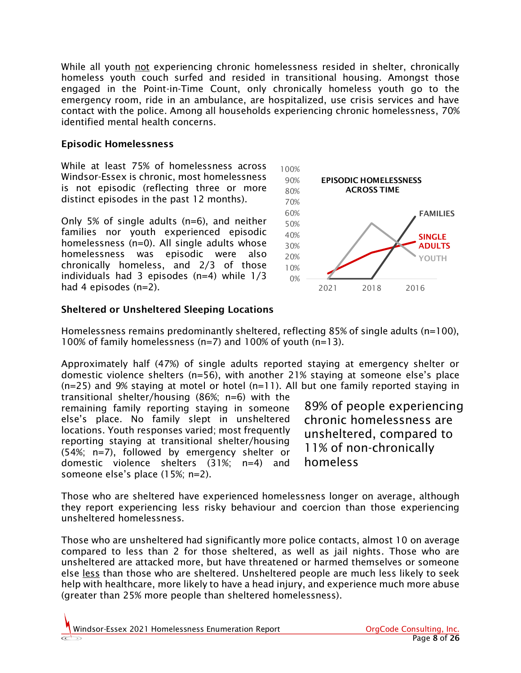While all youth not experiencing chronic homelessness resided in shelter, chronically homeless youth couch surfed and resided in transitional housing. Amongst those engaged in the Point-in-Time Count, only chronically homeless youth go to the emergency room, ride in an ambulance, are hospitalized, use crisis services and have contact with the police. Among all households experiencing chronic homelessness, 70% identified mental health concerns.

#### Episodic Homelessness

While at least 75% of homelessness across Windsor-Essex is chronic, most homelessness is not episodic (reflecting three or more distinct episodes in the past 12 months).

Only 5% of single adults (n=6), and neither families nor youth experienced episodic homelessness (n=0). All single adults whose homelessness was episodic were also chronically homeless, and 2/3 of those individuals had 3 episodes  $(n=4)$  while  $1/3$ had 4 episodes (n=2).



#### Sheltered or Unsheltered Sleeping Locations

Homelessness remains predominantly sheltered, reflecting 85% of single adults (n=100), 100% of family homelessness (n=7) and 100% of youth (n=13).

Approximately half (47%) of single adults reported staying at emergency shelter or domestic violence shelters (n=56), with another 21% staying at someone else's place (n=25) and 9% staying at motel or hotel (n=11). All but one family reported staying in

transitional shelter/housing (86%; n=6) with the remaining family reporting staying in someone else's place. No family slept in unsheltered locations. Youth responses varied; most frequently reporting staying at transitional shelter/housing (54%; n=7), followed by emergency shelter or domestic violence shelters (31%; n=4) and someone else's place (15%; n=2).

89% of people experiencing chronic homelessness are unsheltered, compared to 11% of non-chronically homeless

Those who are sheltered have experienced homelessness longer on average, although they report experiencing less risky behaviour and coercion than those experiencing unsheltered homelessness.

Those who are unsheltered had significantly more police contacts, almost 10 on average compared to less than 2 for those sheltered, as well as jail nights. Those who are unsheltered are attacked more, but have threatened or harmed themselves or someone else less than those who are sheltered. Unsheltered people are much less likely to seek help with healthcare, more likely to have a head injury, and experience much more abuse (greater than 25% more people than sheltered homelessness).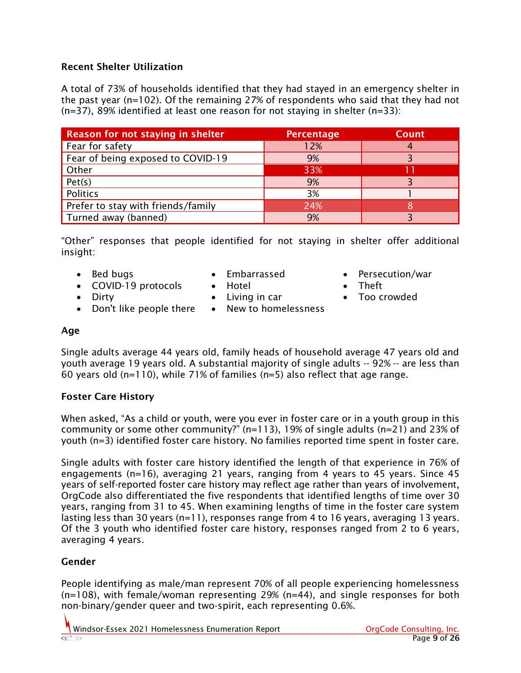#### Recent Shelter Utilization

A total of 73% of households identified that they had stayed in an emergency shelter in the past year (n=102). Of the remaining 27% of respondents who said that they had not  $(n=37)$ , 89% identified at least one reason for not staying in shelter  $(n=33)$ :

| <b>Reason for not staying in shelter</b> | <b>Percentage</b> | <b>Count</b> |
|------------------------------------------|-------------------|--------------|
| Fear for safety                          | 12%               |              |
| Fear of being exposed to COVID-19        | 9%                |              |
| Other                                    | 33%               |              |
| Pet(s)                                   | 9%                |              |
| Politics                                 | 3%                |              |
| Prefer to stay with friends/family       | 24%               |              |
| Turned away (banned)                     | 9%                |              |

"Other" responses that people identified for not staying in shelter offer additional insight:

• Bed bugs

- Embarrassed
- COVID-19 protocols

• Don't like people there

• Dirty

- Hotel • Living in car
	-
	- New to homelessness
- Persecution/war
- Theft
- Too crowded

#### Age

Single adults average 44 years old, family heads of household average 47 years old and youth average 19 years old. A substantial majority of single adults -- 92% -- are less than 60 years old (n=110), while 71% of families (n=5) also reflect that age range.

#### Foster Care History

When asked, "As a child or youth, were you ever in foster care or in a youth group in this community or some other community?" (n=113), 19% of single adults (n=21) and 23% of youth (n=3) identified foster care history. No families reported time spent in foster care.

Single adults with foster care history identified the length of that experience in 76% of engagements (n=16), averaging 21 years, ranging from 4 years to 45 years. Since 45 years of self-reported foster care history may reflect age rather than years of involvement, OrgCode also differentiated the five respondents that identified lengths of time over 30 years, ranging from 31 to 45. When examining lengths of time in the foster care system lasting less than 30 years (n=11), responses range from 4 to 16 years, averaging 13 years. Of the 3 youth who identified foster care history, responses ranged from 2 to 6 years, averaging 4 years.

#### Gender

People identifying as male/man represent 70% of all people experiencing homelessness (n=108), with female/woman representing 29% (n=44), and single responses for both non-binary/gender queer and two-spirit, each representing 0.6%.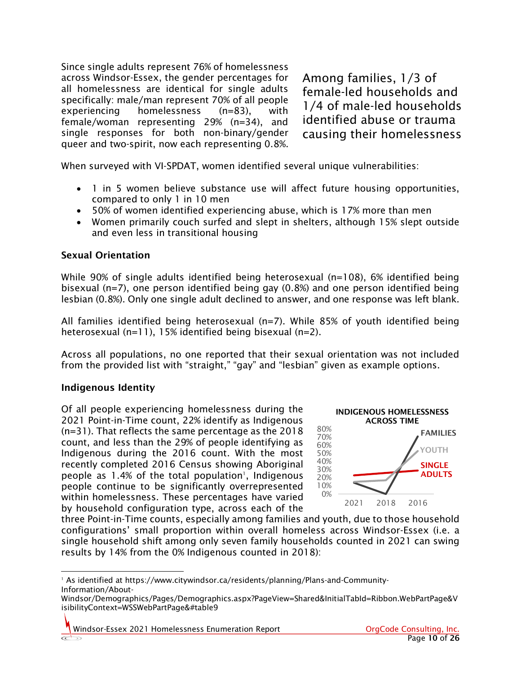Since single adults represent 76% of homelessness across Windsor-Essex, the gender percentages for all homelessness are identical for single adults specifically: male/man represent 70% of all people experiencing homelessness (n=83), with female/woman representing 29% (n=34), and single responses for both non-binary/gender queer and two-spirit, now each representing 0.8%.

Among families, 1/3 of female-led households and 1/4 of male-led households identified abuse or trauma causing their homelessness

When surveyed with VI-SPDAT, women identified several unique vulnerabilities:

- 1 in 5 women believe substance use will affect future housing opportunities, compared to only 1 in 10 men
- 50% of women identified experiencing abuse, which is 17% more than men
- Women primarily couch surfed and slept in shelters, although 15% slept outside and even less in transitional housing

#### Sexual Orientation

While 90% of single adults identified being heterosexual (n=108), 6% identified being bisexual (n=7), one person identified being gay (0.8%) and one person identified being lesbian (0.8%). Only one single adult declined to answer, and one response was left blank.

All families identified being heterosexual (n=7). While 85% of youth identified being heterosexual (n=11), 15% identified being bisexual (n=2).

Across all populations, no one reported that their sexual orientation was not included from the provided list with "straight," "gay" and "lesbian" given as example options.

#### Indigenous Identity

Of all people experiencing homelessness during the 2021 Point-in-Time count, 22% identify as Indigenous (n=31). That reflects the same percentage as the 2018 count, and less than the 29% of people identifying as Indigenous during the 2016 count. With the most recently completed 2016 Census showing Aboriginal people as  $1.4\%$  of the total population<sup>1</sup>, Indigenous people continue to be significantly overrepresented within homelessness. These percentages have varied by household configuration type, across each of the



three Point-in-Time counts, especially among families and youth, due to those household configurations' small proportion within overall homeless across Windsor-Essex (i.e. a single household shift among only seven family households counted in 2021 can swing results by 14% from the 0% Indigenous counted in 2018):

<sup>1</sup> As identified at [https://www.citywindsor.ca/residents/planning/Plans-and-Community-](https://www.citywindsor.ca/residents/planning/Plans-and-Community-Information/About-Windsor/Demographics/Pages/Demographics.aspx?PageView=Shared&InitialTabId=Ribbon.WebPartPage&VisibilityContext=WSSWebPartPage&#table9)[Information/About-](https://www.citywindsor.ca/residents/planning/Plans-and-Community-Information/About-Windsor/Demographics/Pages/Demographics.aspx?PageView=Shared&InitialTabId=Ribbon.WebPartPage&VisibilityContext=WSSWebPartPage&#table9)

[Windsor/Demographics/Pages/Demographics.aspx?PageView=Shared&InitialTabId=Ribbon.WebPartPage&V](https://www.citywindsor.ca/residents/planning/Plans-and-Community-Information/About-Windsor/Demographics/Pages/Demographics.aspx?PageView=Shared&InitialTabId=Ribbon.WebPartPage&VisibilityContext=WSSWebPartPage&#table9) [isibilityContext=WSSWebPartPage&#table9](https://www.citywindsor.ca/residents/planning/Plans-and-Community-Information/About-Windsor/Demographics/Pages/Demographics.aspx?PageView=Shared&InitialTabId=Ribbon.WebPartPage&VisibilityContext=WSSWebPartPage&#table9)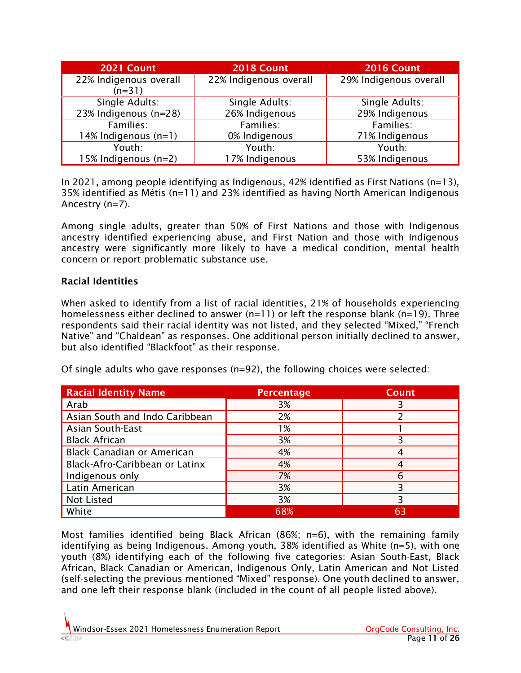| 2021 Count                              | 2018 Count                       | <b>2016 Count</b>                |
|-----------------------------------------|----------------------------------|----------------------------------|
| 22% Indigenous overall<br>$(n=31)$      | 22% Indigenous overall           | 29% Indigenous overall           |
| Single Adults:<br>23% Indigenous (n=28) | Single Adults:<br>26% Indigenous | Single Adults:<br>29% Indigenous |
| Families:                               | Families:                        | Families:                        |
| 14% Indigenous (n=1)                    | 0% Indigenous                    | 71% Indigenous                   |
| Youth:                                  | Youth:                           | Youth:                           |
| 15% Indigenous (n=2)                    | 17% Indigenous                   | 53% Indigenous                   |

In 2021, among people identifying as Indigenous, 42% identified as First Nations (n=13), 35% identified as Métis (n=11) and 23% identified as having North American Indigenous Ancestry (n=7).

Among single adults, greater than 50% of First Nations and those with Indigenous ancestry identified experiencing abuse, and First Nation and those with Indigenous ancestry were significantly more likely to have a medical condition, mental health concern or report problematic substance use.

#### Racial Identities

When asked to identify from a list of racial identities, 21% of households experiencing homelessness either declined to answer  $(n=11)$  or left the response blank  $(n=19)$ . Three respondents said their racial identity was not listed, and they selected "Mixed," "French Native" and "Chaldean" as responses. One additional person initially declined to answer, but also identified "Blackfoot" as their response.

Of single adults who gave responses (n=92), the following choices were selected:

| <b>Racial Identity Name</b>       | <b>Percentage</b> | <b>Count</b> |
|-----------------------------------|-------------------|--------------|
| Arab                              | 3%                |              |
| Asian South and Indo Caribbean    | 2%                |              |
| <b>Asian South-East</b>           | 1%                |              |
| <b>Black African</b>              | 3%                |              |
| <b>Black Canadian or American</b> | 4%                |              |
| Black-Afro-Caribbean or Latinx    | 4%                |              |
| Indigenous only                   | 7%                | 6            |
| Latin American                    | 3%                |              |
| Not Listed                        | 3%                |              |
| White                             | 68%               | 63           |

Most families identified being Black African (86%; n=6), with the remaining family identifying as being Indigenous. Among youth, 38% identified as White (n=5), with one youth (8%) identifying each of the following five categories: Asian South-East, Black African, Black Canadian or American, Indigenous Only, Latin American and Not Listed (self-selecting the previous mentioned "Mixed" response). One youth declined to answer, and one left their response blank (included in the count of all people listed above).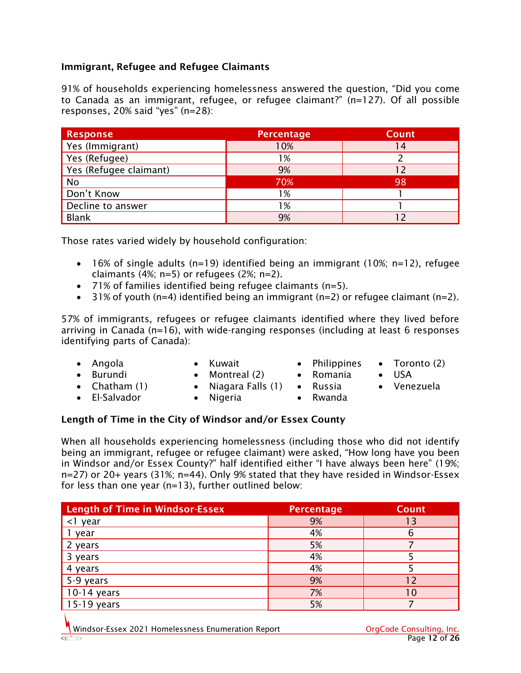#### Immigrant, Refugee and Refugee Claimants

91% of households experiencing homelessness answered the question, "Did you come to Canada as an immigrant, refugee, or refugee claimant?" (n=127). Of all possible responses, 20% said "yes" (n=28):

| <b>Response</b>        | <b>Percentage</b> | <b>Count</b> |
|------------------------|-------------------|--------------|
| Yes (Immigrant)        | 10%               | 14           |
| Yes (Refugee)          | 1%                |              |
| Yes (Refugee claimant) | 9%                | 12           |
| No                     | 70%               | 98           |
| Don't Know             | 1%                |              |
| Decline to answer      | 1%                |              |
| <b>Blank</b>           | 9%                |              |

Those rates varied widely by household configuration:

- 16% of single adults (n=19) identified being an immigrant (10%; n=12), refugee claimants (4%; n=5) or refugees (2%; n=2).
- 71% of families identified being refugee claimants (n=5).
- 31% of youth (n=4) identified being an immigrant (n=2) or refugee claimant (n=2).

57% of immigrants, refugees or refugee claimants identified where they lived before arriving in Canada (n=16), with wide-ranging responses (including at least 6 responses identifying parts of Canada):

• Angola • Burundi

• El-Salvador

- Kuwait
	- Montreal (2)
- Chatham (1)
- Niagara Falls (1) • Nigeria
- Russia
	- Rwanda

• Philippines • Romania

#### Length of Time in the City of Windsor and/or Essex County

When all households experiencing homelessness (including those who did not identify being an immigrant, refugee or refugee claimant) were asked, "How long have you been in Windsor and/or Essex County?" half identified either "I have always been here" (19%; n=27) or 20+ years (31%; n=44). Only 9% stated that they have resided in Windsor-Essex for less than one year (n=13), further outlined below:

| <b>Length of Time in Windsor-Essex</b> | <b>Percentage</b> | <b>Count</b> |
|----------------------------------------|-------------------|--------------|
| year                                   | 9%                | 13           |
| year                                   | 4%                | 6            |
| years                                  | 5%                |              |
| years                                  | 4%                |              |
| 4 years                                | 4%                |              |
| 5-9 years                              | 9%                | 12           |
| 10-14 years                            | 7%                | 10           |
| $15 - 19$<br>years                     | 5%                |              |

- Toronto (2)
- USA
- Venezuela
-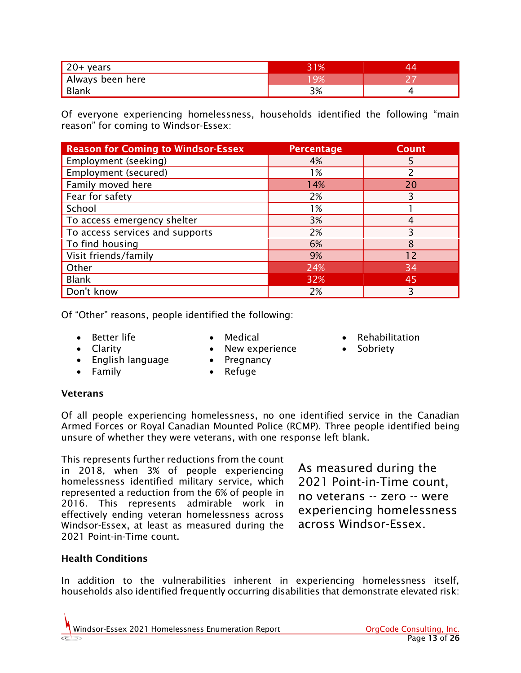| 20+ years        | <b>11%</b> |  |
|------------------|------------|--|
| Always been here | ,0ב        |  |
| Blank            | 3%         |  |

Of everyone experiencing homelessness, households identified the following "main reason" for coming to Windsor-Essex:

| <b>Reason for Coming to Windsor-Essex</b> | <b>Percentage</b> | <b>Count</b> |
|-------------------------------------------|-------------------|--------------|
| Employment (seeking)                      | 4%                |              |
| Employment (secured)                      | 1%                | 2            |
| Family moved here                         | 14%               | 20           |
| Fear for safety                           | 2%                | 3            |
| School                                    | 1%                |              |
| To access emergency shelter               | 3%                |              |
| To access services and supports           | 2%                | 3            |
| To find housing                           | 6%                | 8            |
| Visit friends/family                      | 9%                | 12           |
| Other                                     | 24%               | 34           |
| <b>Blank</b>                              | 32%               | 45           |
| Don't know                                | 2%                | ξ            |

Of "Other" reasons, people identified the following:

- Better life
- Medical
- New experience
- Rehabilitation
- Sobriety
- Clarity • English language
- Family
- Pregnancy • Refuge

#### **Veterans**

Of all people experiencing homelessness, no one identified service in the Canadian Armed Forces or Royal Canadian Mounted Police (RCMP). Three people identified being unsure of whether they were veterans, with one response left blank.

This represents further reductions from the count in 2018, when 3% of people experiencing homelessness identified military service, which represented a reduction from the 6% of people in 2016. This represents admirable work in effectively ending veteran homelessness across Windsor-Essex, at least as measured during the 2021 Point-in-Time count.

As measured during the 2021 Point-in-Time count, no veterans -- zero -- were experiencing homelessness across Windsor-Essex.

#### Health Conditions

In addition to the vulnerabilities inherent in experiencing homelessness itself, households also identified frequently occurring disabilities that demonstrate elevated risk: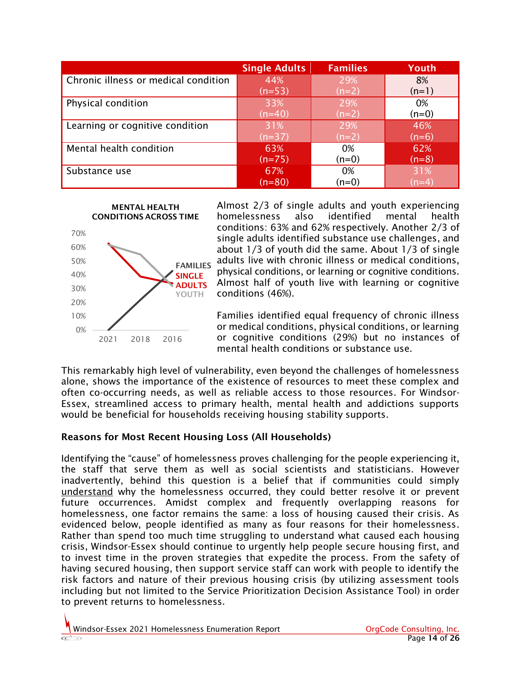|                                      | <b>Single Adults</b> | <b>Families</b> | Youth   |
|--------------------------------------|----------------------|-----------------|---------|
| Chronic illness or medical condition | 44%                  | 29%             | 8%      |
|                                      | $(n=53)$             | $(n=2)$         | $(n=1)$ |
| Physical condition                   | 33%                  | 29%             | 0%      |
|                                      | $(n=40)$             | $(n=2)$         | $(n=0)$ |
| Learning or cognitive condition      | 31%                  | 29%             | 46%     |
|                                      | $(n=37)$             | $(n=2)$         | $(n=6)$ |
| Mental health condition              | 63%                  | 0%              | 62%     |
|                                      | $(n=75)$             | (n=0)           | $(n=8)$ |
| Substance use                        | 67%                  | 0%              | 31%     |
|                                      | $(n=80)$             | (n=0)           | $(n=4)$ |

MENTAL HEALTH CONDITIONS ACROSS TIME



Almost 2/3 of single adults and youth experiencing homelessness also identified mental health conditions: 63% and 62% respectively. Another 2/3 of single adults identified substance use challenges, and about 1/3 of youth did the same. About 1/3 of single adults live with chronic illness or medical conditions, physical conditions, or learning or cognitive conditions. Almost half of youth live with learning or cognitive conditions (46%).

Families identified equal frequency of chronic illness or medical conditions, physical conditions, or learning or cognitive conditions (29%) but no instances of mental health conditions or substance use.

This remarkably high level of vulnerability, even beyond the challenges of homelessness alone, shows the importance of the existence of resources to meet these complex and often co-occurring needs, as well as reliable access to those resources. For Windsor-Essex, streamlined access to primary health, mental health and addictions supports would be beneficial for households receiving housing stability supports.

#### Reasons for Most Recent Housing Loss (All Households)

Identifying the "cause" of homelessness proves challenging for the people experiencing it, the staff that serve them as well as social scientists and statisticians. However inadvertently, behind this question is a belief that if communities could simply understand why the homelessness occurred, they could better resolve it or prevent future occurrences. Amidst complex and frequently overlapping reasons for homelessness, one factor remains the same: a loss of housing caused their crisis. As evidenced below, people identified as many as four reasons for their homelessness. Rather than spend too much time struggling to understand what caused each housing crisis, Windsor-Essex should continue to urgently help people secure housing first, and to invest time in the proven strategies that expedite the process. From the safety of having secured housing, then support service staff can work with people to identify the risk factors and nature of their previous housing crisis (by utilizing assessment tools including but not limited to the Service Prioritization Decision Assistance Tool) in order to prevent returns to homelessness.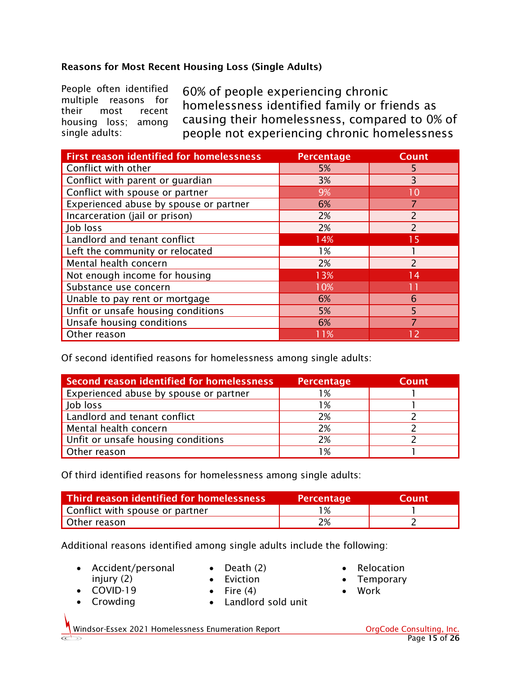#### Reasons for Most Recent Housing Loss (Single Adults)

People often identified multiple reasons for their most recent housing loss; among single adults:

60% of people experiencing chronic homelessness identified family or friends as causing their homelessness, compared to 0% of people not experiencing chronic homelessness

| <b>First reason identified for homelessness</b> | <b>Percentage</b> | <b>Count</b>             |
|-------------------------------------------------|-------------------|--------------------------|
| Conflict with other                             | 5%                | 5                        |
| Conflict with parent or guardian                | 3%                | 3                        |
| Conflict with spouse or partner                 | 9%                | 10                       |
| Experienced abuse by spouse or partner          | 6%                |                          |
| Incarceration (jail or prison)                  | 2%                |                          |
| Job loss                                        | 2%                | $\overline{2}$           |
| Landlord and tenant conflict                    | 14%               | 15                       |
| Left the community or relocated                 | 1%                |                          |
| Mental health concern                           | 2%                | $\overline{\phantom{0}}$ |
| Not enough income for housing                   | 13%               | 14                       |
| Substance use concern                           | 10%               |                          |
| Unable to pay rent or mortgage                  | 6%                | 6                        |
| Unfit or unsafe housing conditions              | 5%                | 5                        |
| Unsafe housing conditions                       | 6%                |                          |
| Other reason                                    | 11%               | 12                       |

Of second identified reasons for homelessness among single adults:

| <b>Second reason identified for homelessness</b> | <b>Percentage</b> | <b>Count</b> |
|--------------------------------------------------|-------------------|--------------|
| Experienced abuse by spouse or partner           | l %               |              |
| Job loss                                         | 1%                |              |
| Landlord and tenant conflict                     | 2%                |              |
| Mental health concern                            | 2%                |              |
| Unfit or unsafe housing conditions               | 2%                |              |
| Other reason                                     | 1%                |              |

Of third identified reasons for homelessness among single adults:

| Third reason identified for homelessness | <b>Percentage</b> | <b>Count</b> |
|------------------------------------------|-------------------|--------------|
| Conflict with spouse or partner          | 1 %               |              |
| Other reason                             | 2%                |              |

Additional reasons identified among single adults include the following:

- Accident/personal injury (2)
- Death (2)
- Eviction
- COVID-19
- Crowding

 $\bullet$  Fire (4)

• Landlord sold unit

- **Relocation**
- Temporary
- Work

Windsor-Essex 2021 Homelessness Enumeration Report **Consulting Consulting, Inc.**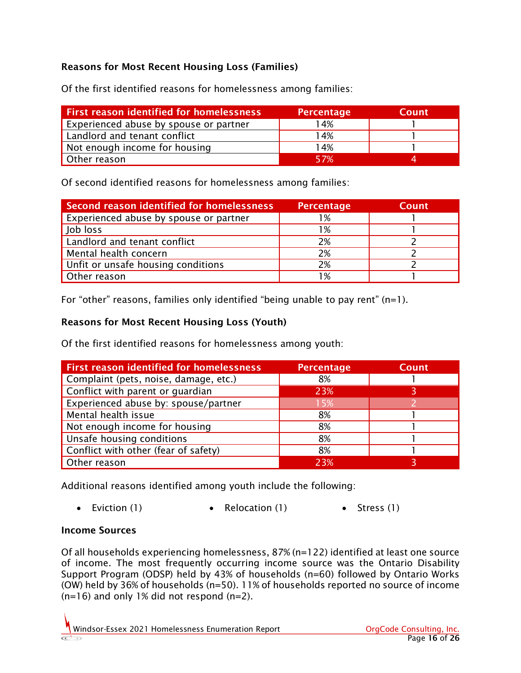#### Reasons for Most Recent Housing Loss (Families)

Of the first identified reasons for homelessness among families:

| <b>First reason identified for homelessness</b> | <b>Percentage</b> | Count |
|-------------------------------------------------|-------------------|-------|
| Experienced abuse by spouse or partner          | 14%               |       |
| Landlord and tenant conflict                    | 14%               |       |
| Not enough income for housing                   | 14%               |       |
| Other reason                                    | 57%               |       |

Of second identified reasons for homelessness among families:

| Second reason identified for homelessness | <b>Percentage</b> | <b>Count</b> |
|-------------------------------------------|-------------------|--------------|
| Experienced abuse by spouse or partner    | l %               |              |
| Job loss                                  | 1%                |              |
| Landlord and tenant conflict              | 2%                |              |
| Mental health concern                     | 2%                |              |
| Unfit or unsafe housing conditions        | 2%                |              |
| Other reason                              | 1%                |              |

For "other" reasons, families only identified "being unable to pay rent" (n=1).

#### Reasons for Most Recent Housing Loss (Youth)

Of the first identified reasons for homelessness among youth:

| <b>First reason identified for homelessness</b> | Percentage | <b>Count</b> |
|-------------------------------------------------|------------|--------------|
| Complaint (pets, noise, damage, etc.)           | 8%         |              |
| Conflict with parent or guardian                | 23%        | 3            |
| Experienced abuse by: spouse/partner            | 15%        |              |
| Mental health issue                             | 8%         |              |
| Not enough income for housing                   | 8%         |              |
| Unsafe housing conditions                       | 8%         |              |
| Conflict with other (fear of safety)            | 8%         |              |
| Other reason                                    | 23%        |              |

Additional reasons identified among youth include the following:

• Eviction (1) • Relocation (1) • Stress (1)

#### Income Sources

Of all households experiencing homelessness, 87% (n=122) identified at least one source of income. The most frequently occurring income source was the Ontario Disability Support Program (ODSP) held by 43% of households (n=60) followed by Ontario Works (OW) held by 36% of households (n=50). 11% of households reported no source of income  $(n=16)$  and only 1% did not respond  $(n=2)$ .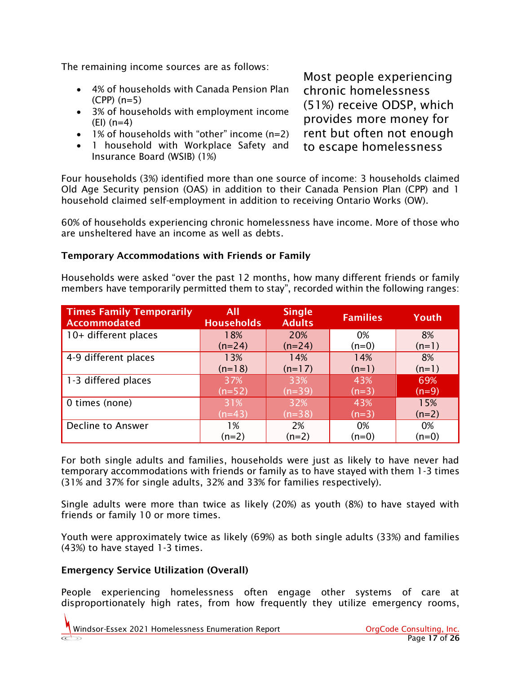The remaining income sources are as follows:

- 4% of households with Canada Pension Plan (CPP) (n=5)
- 3% of households with employment income (EI) (n=4)
- 1% of households with "other" income (n=2)
- 1 household with Workplace Safety and Insurance Board (WSIB) (1%)

Most people experiencing chronic homelessness (51%) receive ODSP, which provides more money for rent but often not enough to escape homelessness

Four households (3%) identified more than one source of income: 3 households claimed Old Age Security pension (OAS) in addition to their Canada Pension Plan (CPP) and 1 household claimed self-employment in addition to receiving Ontario Works (OW).

60% of households experiencing chronic homelessness have income. More of those who are unsheltered have an income as well as debts.

#### Temporary Accommodations with Friends or Family

Households were asked "over the past 12 months, how many different friends or family members have temporarily permitted them to stay", recorded within the following ranges:

| <b>Times Family Temporarily</b><br><b>Accommodated</b> | All<br><b>Households</b> | <b>Single</b><br><b>Adults</b> | <b>Families</b> | Youth   |
|--------------------------------------------------------|--------------------------|--------------------------------|-----------------|---------|
| 10+ different places                                   | 18%                      | 20%                            | 0%              | 8%      |
|                                                        | $(n=24)$                 | $(n=24)$                       | $(n=0)$         | $(n=1)$ |
| 4-9 different places                                   | 13%                      | 14%                            | 14%             | 8%      |
|                                                        | $(n=18)$                 | $(n=17)$                       | $(n=1)$         | $(n=1)$ |
| 1-3 differed places                                    | 37%                      | 33%                            | 43%             | 69%     |
|                                                        | $(n=52)$                 | $(n=39)$                       | $(n=3)$         | $(n=9)$ |
| 0 times (none)                                         | 31%                      | 32%                            | 43%             | 15%     |
|                                                        | $(n=43)$                 | $(n=38)$                       | $(n=3)$         | $(n=2)$ |
| <b>Decline to Answer</b>                               | 1%                       | 2%                             | 0%              | 0%      |
|                                                        | (n=2)                    | $(n=2)$                        | $(n=0)$         | (n=0)   |

For both single adults and families, households were just as likely to have never had temporary accommodations with friends or family as to have stayed with them 1-3 times (31% and 37% for single adults, 32% and 33% for families respectively).

Single adults were more than twice as likely (20%) as youth (8%) to have stayed with friends or family 10 or more times.

Youth were approximately twice as likely (69%) as both single adults (33%) and families (43%) to have stayed 1-3 times.

#### Emergency Service Utilization (Overall)

People experiencing homelessness often engage other systems of care at disproportionately high rates, from how frequently they utilize emergency rooms,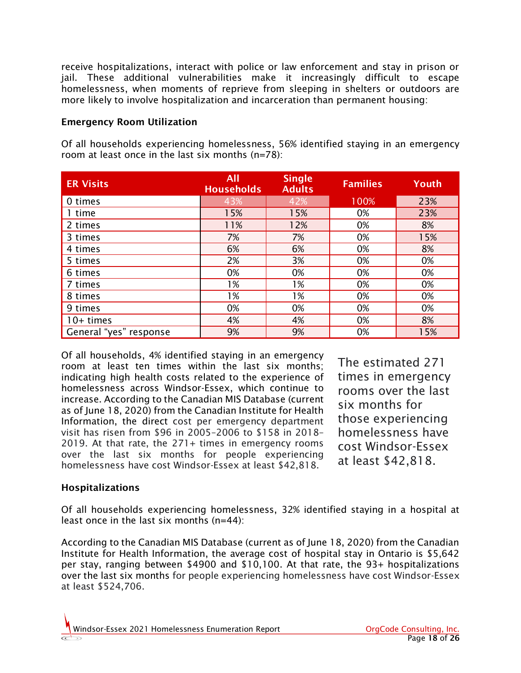receive hospitalizations, interact with police or law enforcement and stay in prison or jail. These additional vulnerabilities make it increasingly difficult to escape homelessness, when moments of reprieve from sleeping in shelters or outdoors are more likely to involve hospitalization and incarceration than permanent housing:

#### Emergency Room Utilization

Of all households experiencing homelessness, 56% identified staying in an emergency room at least once in the last six months (n=78):

| <b>ER Visits</b>       | All<br><b>Households</b> | <b>Single</b><br><b>Adults</b> | <b>Families</b> | Youth |
|------------------------|--------------------------|--------------------------------|-----------------|-------|
| 0 times                | 43%                      | 42%                            | 100%            | 23%   |
| 1 time                 | 15%                      | 15%                            | 0%              | 23%   |
| 2 times                | 11%                      | 12%                            | 0%              | 8%    |
| 3 times                | 7%                       | 7%                             | 0%              | 15%   |
| 4 times                | 6%                       | 6%                             | 0%              | 8%    |
| 5 times                | 2%                       | 3%                             | 0%              | 0%    |
| 6 times                | 0%                       | 0%                             | 0%              | 0%    |
| 7 times                | 1%                       | 1%                             | 0%              | 0%    |
| 8 times                | 1%                       | 1%                             | 0%              | 0%    |
| 9 times                | 0%                       | 0%                             | 0%              | 0%    |
| $10+$ times            | 4%                       | 4%                             | 0%              | 8%    |
| General "yes" response | 9%                       | 9%                             | 0%              | 15%   |

Of all households, 4% identified staying in an emergency room at least ten times within the last six months; indicating high health costs related to the experience of homelessness across Windsor-Essex, which continue to increase. According to the [Canadian MIS Database](https://www.cihi.ca/sites/default/files/document/hospital-spending-highlights-2020-en.pdf) (current as of June 18, 2020) from the Canadian Institute for Health Information, the direct cost per emergency department visit has risen from \$96 in 2005–2006 to \$158 in 2018– 2019. At that rate, the 271+ times in emergency rooms over the last six months for people experiencing homelessness have cost Windsor-Essex at least \$42,818.

The estimated 271 times in emergency rooms over the last six months for those experiencing homelessness have cost Windsor-Essex at least \$42,818.

#### Hospitalizations

Of all households experiencing homelessness, 32% identified staying in a hospital at least once in the last six months (n=44):

According to the [Canadian MIS Database \(current as of June 18, 2020\) from the Canadian](https://yourhealthsystem.cihi.ca/hsp/inbrief?lang=en#!/indicators/015/cost-of-a-standard-hospital-stay-cshs/;mapC1;mapLevel2;provinceC9001;/)  [Institute for Health Information,](https://yourhealthsystem.cihi.ca/hsp/inbrief?lang=en#!/indicators/015/cost-of-a-standard-hospital-stay-cshs/;mapC1;mapLevel2;provinceC9001;/) the average cost of hospital stay in Ontario is \$5,642 per stay, ranging between \$4900 and \$10,100. At that rate, the 93+ hospitalizations over the last six months for people experiencing homelessness have cost Windsor-Essex at least \$524,706.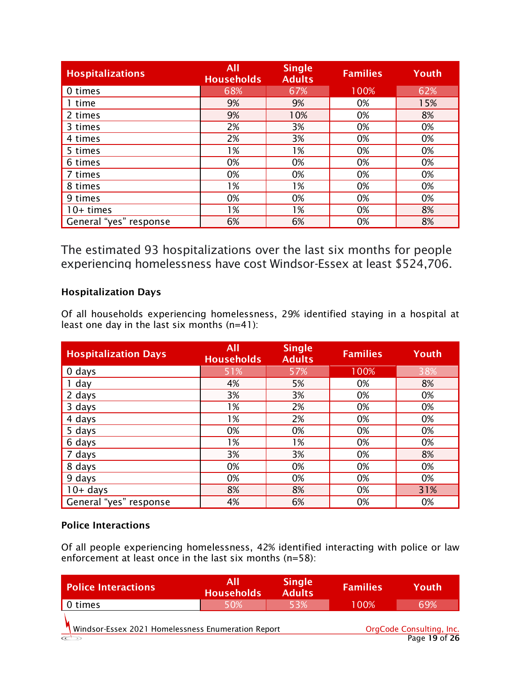| <b>Hospitalizations</b> | <b>All</b><br><b>Households</b> | <b>Single</b><br><b>Adults</b> | <b>Families</b> | Youth |
|-------------------------|---------------------------------|--------------------------------|-----------------|-------|
| 0 times                 | 68%                             | 67%                            | 100%            | 62%   |
| 1 time                  | 9%                              | 9%                             | 0%              | 15%   |
| 2 times                 | 9%                              | 10%                            | 0%              | 8%    |
| 3 times                 | 2%                              | 3%                             | 0%              | 0%    |
| 4 times                 | 2%                              | 3%                             | 0%              | 0%    |
| 5 times                 | 1%                              | 1%                             | 0%              | 0%    |
| 6 times                 | 0%                              | 0%                             | 0%              | 0%    |
| 7 times                 | 0%                              | 0%                             | 0%              | 0%    |
| 8 times                 | 1%                              | 1%                             | 0%              | 0%    |
| 9 times                 | 0%                              | 0%                             | 0%              | 0%    |
| $10+$ times             | 1%                              | 1%                             | 0%              | 8%    |
| General "yes" response  | 6%                              | 6%                             | 0%              | 8%    |

The estimated 93 hospitalizations over the last six months for people experiencing homelessness have cost Windsor-Essex at least \$524,706.

#### Hospitalization Days

Of all households experiencing homelessness, 29% identified staying in a hospital at least one day in the last six months (n=41):

| <b>Hospitalization Days</b> | <b>All</b><br><b>Households</b> | <b>Single</b><br><b>Adults</b> | Families | Youth |
|-----------------------------|---------------------------------|--------------------------------|----------|-------|
| 0 days                      | 51%                             | 57%                            | 100%     | 38%   |
| 1 day                       | 4%                              | 5%                             | 0%       | 8%    |
| 2 days                      | 3%                              | 3%                             | 0%       | 0%    |
| 3 days                      | 1%                              | 2%                             | 0%       | 0%    |
| 4 days                      | 1%                              | 2%                             | 0%       | 0%    |
| 5 days                      | 0%                              | 0%                             | 0%       | 0%    |
| 6 days                      | 1%                              | 1%                             | 0%       | 0%    |
| 7 days                      | 3%                              | 3%                             | 0%       | 8%    |
| 8 days                      | 0%                              | 0%                             | 0%       | 0%    |
| 9 days                      | 0%                              | 0%                             | 0%       | 0%    |
| $10+$ days                  | 8%                              | 8%                             | 0%       | 31%   |
| General "yes" response      | 4%                              | 6%                             | 0%       | 0%    |

#### Police Interactions

Of all people experiencing homelessness, 42% identified interacting with police or law enforcement at least once in the last six months (n=58):

| <b>Police Interactions</b>                         | All<br>Households | <b>Single</b><br><b>Adults</b> | <b>Families</b> | Youth                                     |
|----------------------------------------------------|-------------------|--------------------------------|-----------------|-------------------------------------------|
| 0 times                                            | 50%               | 53%                            | 100%            | 69%                                       |
| Windsor-Essex 2021 Homelessness Enumeration Report |                   |                                |                 | OrgCode Consulting, Inc.<br>Page 19 of 26 |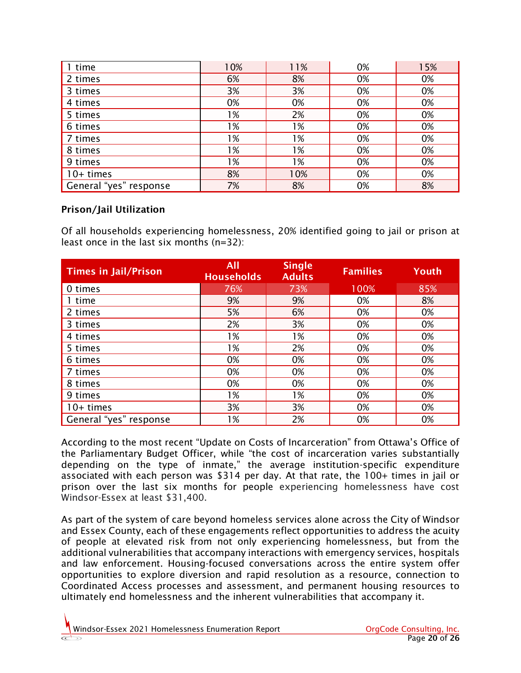| 1 time                 | 10% | 11% | 0% | 15% |
|------------------------|-----|-----|----|-----|
| 2 times                | 6%  | 8%  | 0% | 0%  |
| 3 times                | 3%  | 3%  | 0% | 0%  |
| 4 times                | 0%  | 0%  | 0% | 0%  |
| 5 times                | 1%  | 2%  | 0% | 0%  |
| 6 times                | 1%  | 1%  | 0% | 0%  |
| 7 times                | 1%  | 1%  | 0% | 0%  |
| 8 times                | 1%  | 1%  | 0% | 0%  |
| 9 times                | 1%  | 1%  | 0% | 0%  |
| $10+$ times            | 8%  | 10% | 0% | 0%  |
| General "yes" response | 7%  | 8%  | 0% | 8%  |

#### Prison/Jail Utilization

Of all households experiencing homelessness, 20% identified going to jail or prison at least once in the last six months (n=32):

| <b>Times in Jail/Prison</b> | <b>All</b><br><b>Households</b> | <b>Single</b><br><b>Adults</b> | <b>Families</b> | Youth |
|-----------------------------|---------------------------------|--------------------------------|-----------------|-------|
| 0 times                     | 76%                             | 73%                            | 100%            | 85%   |
| 1 time                      | 9%                              | 9%                             | 0%              | 8%    |
| 2 times                     | 5%                              | 6%                             | 0%              | 0%    |
| 3 times                     | 2%                              | 3%                             | 0%              | 0%    |
| 4 times                     | $1\%$                           | 1%                             | 0%              | 0%    |
| 5 times                     | 1%                              | 2%                             | 0%              | 0%    |
| 6 times                     | 0%                              | 0%                             | 0%              | 0%    |
| 7 times                     | 0%                              | 0%                             | 0%              | 0%    |
| 8 times                     | 0%                              | 0%                             | 0%              | 0%    |
| 9 times                     | 1%                              | 1%                             | 0%              | 0%    |
| $10+$ times                 | 3%                              | 3%                             | 0%              | 0%    |
| General "yes" response      | 1%                              | 2%                             | 0%              | 0%    |

According to the most recent ["Update on Costs of Incarceration" from Ottawa's Office of](https://www.pbo-dpb.gc.ca/web/default/files/Documents/Reports/2018/Update%20Incarceration%20Costs/Update%20on%20Costs%20of%20Incarceration_EN.pdf)  [the Parliamentary Budget Officer,](https://www.pbo-dpb.gc.ca/web/default/files/Documents/Reports/2018/Update%20Incarceration%20Costs/Update%20on%20Costs%20of%20Incarceration_EN.pdf) while "the cost of incarceration varies substantially depending on the type of inmate," the average institution-specific expenditure associated with each person was \$314 per day. At that rate, the 100+ times in jail or prison over the last six months for people experiencing homelessness have cost Windsor-Essex at least \$31,400.

As part of the system of care beyond homeless services alone across the City of Windsor and Essex County, each of these engagements reflect opportunities to address the acuity of people at elevated risk from not only experiencing homelessness, but from the additional vulnerabilities that accompany interactions with emergency services, hospitals and law enforcement. Housing-focused conversations across the entire system offer opportunities to explore diversion and rapid resolution as a resource, connection to Coordinated Access processes and assessment, and permanent housing resources to ultimately end homelessness and the inherent vulnerabilities that accompany it.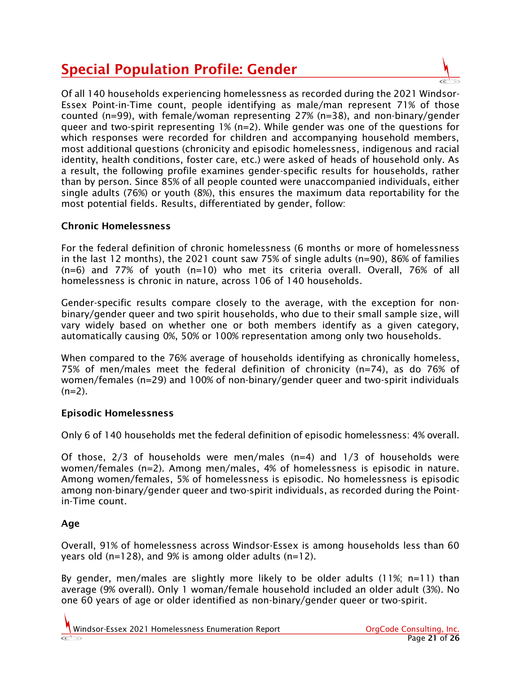# Special Population Profile: Gender

Of all 140 households experiencing homelessness as recorded during the 2021 Windsor-Essex Point-in-Time count, people identifying as male/man represent 71% of those counted (n=99), with female/woman representing 27% (n=38), and non-binary/gender queer and two-spirit representing 1% (n=2). While gender was one of the questions for which responses were recorded for children and accompanying household members, most additional questions (chronicity and episodic homelessness, indigenous and racial identity, health conditions, foster care, etc.) were asked of heads of household only. As a result, the following profile examines gender-specific results for households, rather than by person. Since 85% of all people counted were unaccompanied individuals, either single adults (76%) or youth (8%), this ensures the maximum data reportability for the most potential fields. Results, differentiated by gender, follow:

#### Chronic Homelessness

For the federal definition of chronic homelessness (6 months or more of homelessness in the last 12 months), the 2021 count saw 75% of single adults (n=90), 86% of families (n=6) and 77% of youth (n=10) who met its criteria overall. Overall, 76% of all homelessness is chronic in nature, across 106 of 140 households.

Gender-specific results compare closely to the average, with the exception for nonbinary/gender queer and two spirit households, who due to their small sample size, will vary widely based on whether one or both members identify as a given category, automatically causing 0%, 50% or 100% representation among only two households.

When compared to the 76% average of households identifying as chronically homeless, 75% of men/males meet the federal definition of chronicity (n=74), as do 76% of women/females (n=29) and 100% of non-binary/gender queer and two-spirit individuals  $(n=2)$ .

#### Episodic Homelessness

Only 6 of 140 households met the federal definition of episodic homelessness: 4% overall.

Of those, 2/3 of households were men/males (n=4) and 1/3 of households were women/females (n=2). Among men/males, 4% of homelessness is episodic in nature. Among women/females, 5% of homelessness is episodic. No homelessness is episodic among non-binary/gender queer and two-spirit individuals, as recorded during the Pointin-Time count.

#### Age

Overall, 91% of homelessness across Windsor-Essex is among households less than 60 years old (n=128), and 9% is among older adults (n=12).

By gender, men/males are slightly more likely to be older adults  $(11\%; n=11)$  than average (9% overall). Only 1 woman/female household included an older adult (3%). No one 60 years of age or older identified as non-binary/gender queer or two-spirit.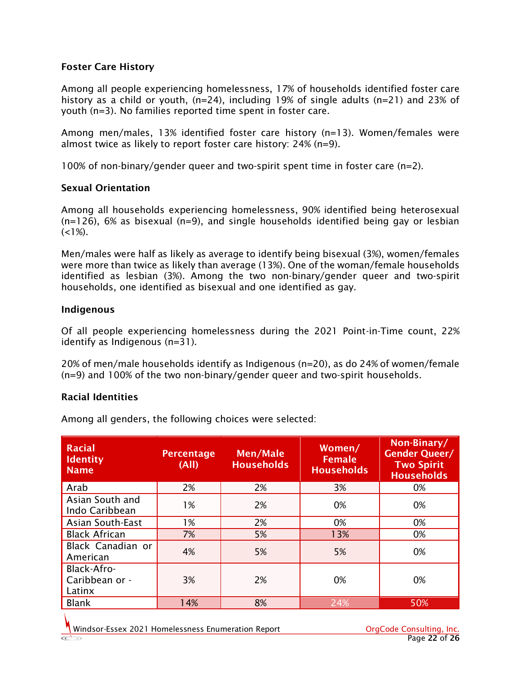#### Foster Care History

Among all people experiencing homelessness, 17% of households identified foster care history as a child or youth, (n=24), including 19% of single adults (n=21) and 23% of youth (n=3). No families reported time spent in foster care.

Among men/males, 13% identified foster care history (n=13). Women/females were almost twice as likely to report foster care history: 24% (n=9).

100% of non-binary/gender queer and two-spirit spent time in foster care (n=2).

#### Sexual Orientation

Among all households experiencing homelessness, 90% identified being heterosexual  $(n=126)$ , 6% as bisexual  $(n=9)$ , and single households identified being gay or lesbian  $(<1\%)$ .

Men/males were half as likely as average to identify being bisexual (3%), women/females were more than twice as likely than average (13%). One of the woman/female households identified as lesbian (3%). Among the two non-binary/gender queer and two-spirit households, one identified as bisexual and one identified as gay.

#### Indigenous

Of all people experiencing homelessness during the 2021 Point-in-Time count, 22% identify as Indigenous (n=31).

20% of men/male households identify as Indigenous (n=20), as do 24% of women/female (n=9) and 100% of the two non-binary/gender queer and two-spirit households.

#### Racial Identities

Among all genders, the following choices were selected:

| <b>Racial</b><br><b>Identity</b><br><b>Name</b> | Percentage<br>(AII) | <b>Men/Male</b><br><b>Households</b> | Women/<br><b>Female</b><br><b>Households</b> | Non-Binary/<br><b>Gender Queer/</b><br><b>Two Spirit</b><br><b>Households</b> |
|-------------------------------------------------|---------------------|--------------------------------------|----------------------------------------------|-------------------------------------------------------------------------------|
| Arab                                            | 2%                  | 2%                                   | 3%                                           | 0%                                                                            |
| Asian South and<br>Indo Caribbean               | 1%                  | 2%                                   | 0%                                           | 0%                                                                            |
| <b>Asian South-East</b>                         | 1%                  | 2%                                   | 0%                                           | 0%                                                                            |
| <b>Black African</b>                            | 7%                  | 5%                                   | 13%                                          | 0%                                                                            |
| Black Canadian or<br>American                   | 4%                  | 5%                                   | 5%                                           | 0%                                                                            |
| Black-Afro-<br>Caribbean or -<br>Latinx         | 3%                  | 2%                                   | 0%                                           | 0%                                                                            |
| Blank                                           | 14%                 | 8%                                   | 24%                                          | 50%                                                                           |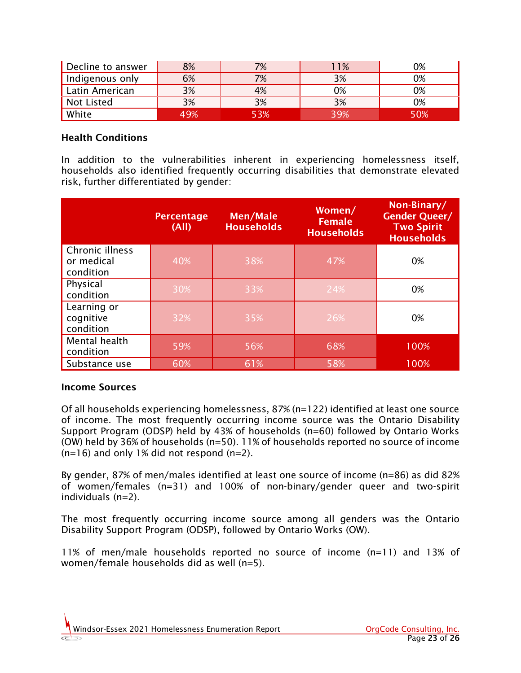| Decline to answer | 8%  | 7%  | 11% | 0%  |
|-------------------|-----|-----|-----|-----|
| Indigenous only   | 6%  | 7%  | 3%  | 0%  |
| Latin American    | 3%  | 4%  | 0%  | 0%  |
| Not Listed        | 3%  | 3%  | 3%  | 0%  |
| White             | 49% | 53% | 39% | 50% |

#### Health Conditions

In addition to the vulnerabilities inherent in experiencing homelessness itself, households also identified frequently occurring disabilities that demonstrate elevated risk, further differentiated by gender:

|                                            | <b>Percentage</b><br>(A  ) | <b>Men/Male</b><br><b>Households</b> | Women/<br><b>Female</b><br><b>Households</b> | Non-Binary/<br><b>Gender Queer/</b><br><b>Two Spirit</b><br><b>Households</b> |
|--------------------------------------------|----------------------------|--------------------------------------|----------------------------------------------|-------------------------------------------------------------------------------|
| Chronic illness<br>or medical<br>condition | 40%                        | 38%                                  | 47%                                          | 0%                                                                            |
| Physical<br>condition                      | 30%                        | 33%                                  | 24%                                          | 0%                                                                            |
| Learning or<br>cognitive<br>condition      | 32%                        | 35%                                  | 26%                                          | 0%                                                                            |
| Mental health<br>condition                 | 59%                        | 56%                                  | 68%                                          | 100%                                                                          |
| Substance use                              | 60%                        | 61%                                  | 58%                                          | 100%                                                                          |

#### Income Sources

Of all households experiencing homelessness, 87% (n=122) identified at least one source of income. The most frequently occurring income source was the Ontario Disability Support Program (ODSP) held by 43% of households (n=60) followed by Ontario Works (OW) held by 36% of households (n=50). 11% of households reported no source of income  $(n=16)$  and only 1% did not respond  $(n=2)$ .

By gender, 87% of men/males identified at least one source of income (n=86) as did 82% of women/females (n=31) and 100% of non-binary/gender queer and two-spirit individuals (n=2).

The most frequently occurring income source among all genders was the Ontario Disability Support Program (ODSP), followed by Ontario Works (OW).

11% of men/male households reported no source of income (n=11) and 13% of women/female households did as well (n=5).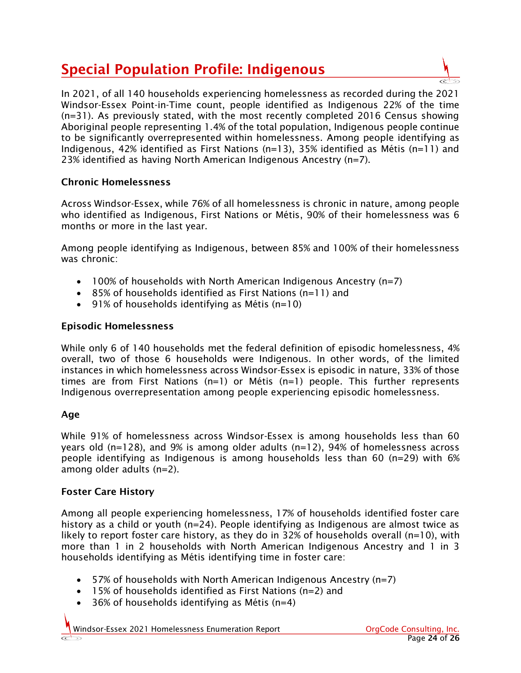# Special Population Profile: Indigenous



#### Chronic Homelessness

Across Windsor-Essex, while 76% of all homelessness is chronic in nature, among people who identified as Indigenous, First Nations or Métis, 90% of their homelessness was 6 months or more in the last year.

Among people identifying as Indigenous, between 85% and 100% of their homelessness was chronic:

- 100% of households with North American Indigenous Ancestry (n=7)
- 85% of households identified as First Nations (n=11) and
- 91% of households identifying as Métis (n=10)

#### Episodic Homelessness

While only 6 of 140 households met the federal definition of episodic homelessness, 4% overall, two of those 6 households were Indigenous. In other words, of the limited instances in which homelessness across Windsor-Essex is episodic in nature, 33% of those times are from First Nations (n=1) or Métis (n=1) people. This further represents Indigenous overrepresentation among people experiencing episodic homelessness.

#### Age

While 91% of homelessness across Windsor-Essex is among households less than 60 years old (n=128), and 9% is among older adults (n=12), 94% of homelessness across people identifying as Indigenous is among households less than 60 (n=29) with 6% among older adults (n=2).

#### Foster Care History

Among all people experiencing homelessness, 17% of households identified foster care history as a child or youth (n=24). People identifying as Indigenous are almost twice as likely to report foster care history, as they do in 32% of households overall ( $n=10$ ), with more than 1 in 2 households with North American Indigenous Ancestry and 1 in 3 households identifying as Métis identifying time in foster care:

- 57% of households with North American Indigenous Ancestry (n=7)
- 15% of households identified as First Nations (n=2) and
- 36% of households identifying as Métis (n=4)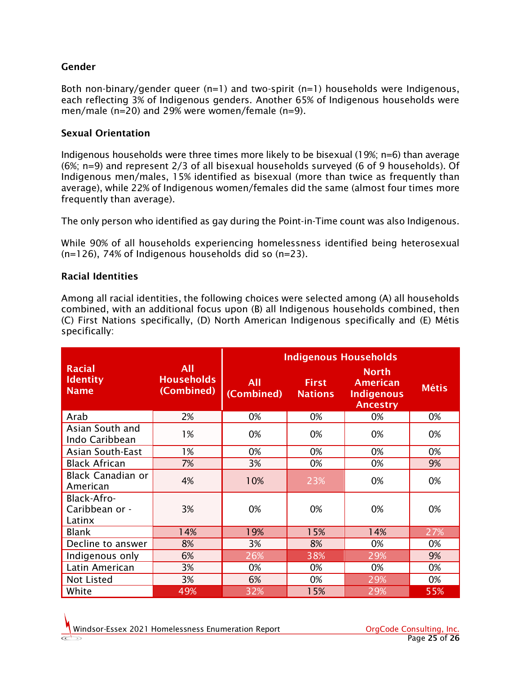#### Gender

Both non-binary/gender queer (n=1) and two-spirit (n=1) households were Indigenous, each reflecting 3% of Indigenous genders. Another 65% of Indigenous households were men/male (n=20) and 29% were women/female (n=9).

#### Sexual Orientation

Indigenous households were three times more likely to be bisexual (19%; n=6) than average (6%; n=9) and represent 2/3 of all bisexual households surveyed (6 of 9 households). Of Indigenous men/males, 15% identified as bisexual (more than twice as frequently than average), while 22% of Indigenous women/females did the same (almost four times more frequently than average).

The only person who identified as gay during the Point-in-Time count was also Indigenous.

While 90% of all households experiencing homelessness identified being heterosexual (n=126), 74% of Indigenous households did so (n=23).

#### Racial Identities

Among all racial identities, the following choices were selected among (A) all households combined, with an additional focus upon (B) all Indigenous households combined, then (C) First Nations specifically, (D) North American Indigenous specifically and (E) Métis specifically:

|                                                 |                                        | <b>Indigenous Households</b> |                                |                                                                         |              |
|-------------------------------------------------|----------------------------------------|------------------------------|--------------------------------|-------------------------------------------------------------------------|--------------|
| <b>Racial</b><br><b>Identity</b><br><b>Name</b> | All<br><b>Households</b><br>(Combined) | All<br>(Combined)            | <b>First</b><br><b>Nations</b> | <b>North</b><br><b>American</b><br><b>Indigenous</b><br><b>Ancestry</b> | <b>Métis</b> |
| Arab                                            | 2%                                     | 0%                           | 0%                             | 0%                                                                      | 0%           |
| Asian South and<br>Indo Caribbean               | 1%                                     | 0%                           | 0%                             | 0%                                                                      | 0%           |
| <b>Asian South-East</b>                         | 1%                                     | 0%                           | 0%                             | 0%                                                                      | 0%           |
| <b>Black African</b>                            | 7%                                     | 3%                           | 0%                             | 0%                                                                      | 9%           |
| <b>Black Canadian or</b><br>American            | 4%                                     | 10%                          | 23%                            | 0%                                                                      | 0%           |
| Black-Afro-<br>Caribbean or -<br>Latinx         | 3%                                     | 0%                           | 0%                             | 0%                                                                      | 0%           |
| Blank                                           | 14%                                    | 19%                          | 15%                            | 14%                                                                     | 27%          |
| Decline to answer                               | 8%                                     | 3%                           | 8%                             | 0%                                                                      | 0%           |
| Indigenous only                                 | 6%                                     | 26%                          | 38%                            | 29%                                                                     | 9%           |
| Latin American                                  | 3%                                     | 0%                           | 0%                             | 0%                                                                      | 0%           |
| <b>Not Listed</b>                               | 3%                                     | 6%                           | 0%                             | 29%                                                                     | 0%           |
| White                                           | 49%                                    | 32%                          | 15%                            | 29%                                                                     | 55%          |